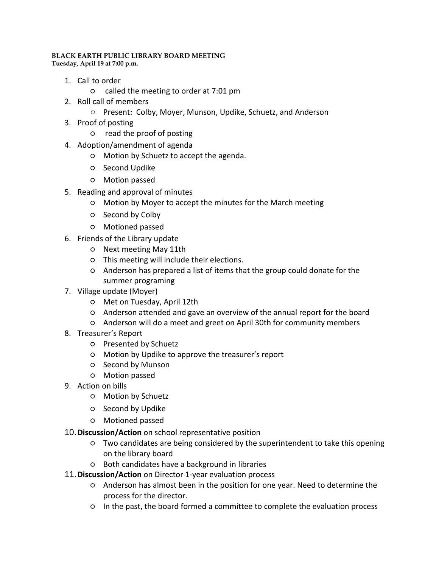## **BLACK EARTH PUBLIC LIBRARY BOARD MEETING Tuesday, April 19 at 7:00 p.m.**

- 1. Call to order
	- called the meeting to order at 7:01 pm
- 2. Roll call of members
	- Present: Colby, Moyer, Munson, Updike, Schuetz, and Anderson
- 3. Proof of posting
	- read the proof of posting
- 4. Adoption/amendment of agenda
	- Motion by Schuetz to accept the agenda.
	- Second Updike
	- Motion passed
- 5. Reading and approval of minutes
	- Motion by Moyer to accept the minutes for the March meeting
	- Second by Colby
	- Motioned passed
- 6. Friends of the Library update
	- Next meeting May 11th
	- This meeting will include their elections.
	- Anderson has prepared a list of items that the group could donate for the summer programing
- 7. Village update (Moyer)
	- Met on Tuesday, April 12th
	- Anderson attended and gave an overview of the annual report for the board
	- Anderson will do a meet and greet on April 30th for community members
- 8. Treasurer's Report
	- Presented by Schuetz
	- Motion by Updike to approve the treasurer's report
	- Second by Munson
	- Motion passed
- 9. Action on bills
	- Motion by Schuetz
	- Second by Updike
	- Motioned passed
- 10.**Discussion/Action** on school representative position
	- Two candidates are being considered by the superintendent to take this opening on the library board
	- Both candidates have a background in libraries
- 11.**Discussion/Action** on Director 1-year evaluation process
	- Anderson has almost been in the position for one year. Need to determine the process for the director.
	- In the past, the board formed a committee to complete the evaluation process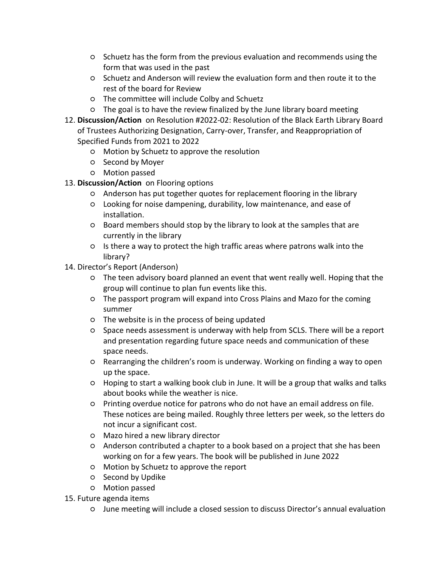- Schuetz has the form from the previous evaluation and recommends using the form that was used in the past
- Schuetz and Anderson will review the evaluation form and then route it to the rest of the board for Review
- The committee will include Colby and Schuetz
- The goal is to have the review finalized by the June library board meeting
- 12. **Discussion/Action** on Resolution #2022-02: Resolution of the Black Earth Library Board of Trustees Authorizing Designation, Carry-over, Transfer, and Reappropriation of Specified Funds from 2021 to 2022
	- Motion by Schuetz to approve the resolution
	- Second by Moyer
	- Motion passed
- 13. **Discussion/Action** on Flooring options
	- Anderson has put together quotes for replacement flooring in the library
	- Looking for noise dampening, durability, low maintenance, and ease of installation.
	- Board members should stop by the library to look at the samples that are currently in the library
	- Is there a way to protect the high traffic areas where patrons walk into the library?
- 14. Director's Report (Anderson)
	- The teen advisory board planned an event that went really well. Hoping that the group will continue to plan fun events like this.
	- The passport program will expand into Cross Plains and Mazo for the coming summer
	- The website is in the process of being updated
	- Space needs assessment is underway with help from SCLS. There will be a report and presentation regarding future space needs and communication of these space needs.
	- Rearranging the children's room is underway. Working on finding a way to open up the space.
	- Hoping to start a walking book club in June. It will be a group that walks and talks about books while the weather is nice.
	- Printing overdue notice for patrons who do not have an email address on file. These notices are being mailed. Roughly three letters per week, so the letters do not incur a significant cost.
	- Mazo hired a new library director
	- Anderson contributed a chapter to a book based on a project that she has been working on for a few years. The book will be published in June 2022
	- Motion by Schuetz to approve the report
	- Second by Updike
	- Motion passed
- 15. Future agenda items
	- June meeting will include a closed session to discuss Director's annual evaluation